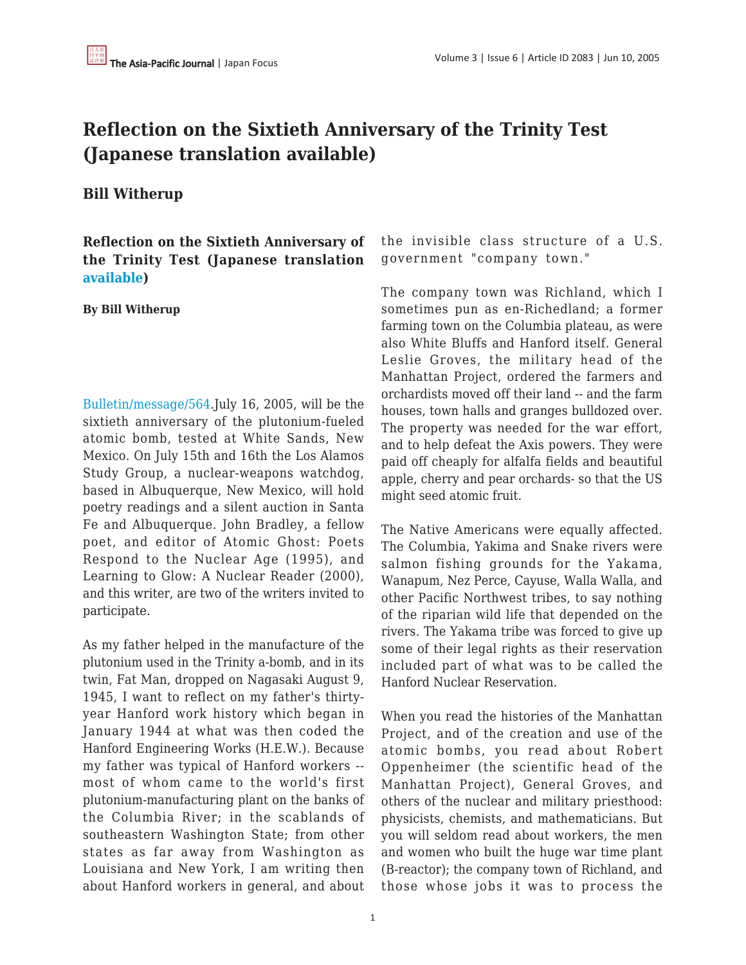## **Reflection on the Sixtieth Anniversary of the Trinity Test (Japanese translation available)**

## **Bill Witherup**

**Reflection on the Sixtieth Anniversary of the Trinity Test (Japanese translation [available\)](http://groups.yahoo.co.jp/group/TUP-Bulletin/message/564)**

## **By Bill Witherup**

[Bulletin/message/564.](http://www.tup-bulletin.org/?p=566)July 16, 2005, will be the sixtieth anniversary of the plutonium-fueled atomic bomb, tested at White Sands, New Mexico. On July 15th and 16th the Los Alamos Study Group, a nuclear-weapons watchdog, based in Albuquerque, New Mexico, will hold poetry readings and a silent auction in Santa Fe and Albuquerque. John Bradley, a fellow poet, and editor of Atomic Ghost: Poets Respond to the Nuclear Age (1995), and Learning to Glow: A Nuclear Reader (2000), and this writer, are two of the writers invited to participate.

As my father helped in the manufacture of the plutonium used in the Trinity a-bomb, and in its twin, Fat Man, dropped on Nagasaki August 9, 1945, I want to reflect on my father's thirtyyear Hanford work history which began in January 1944 at what was then coded the Hanford Engineering Works (H.E.W.). Because my father was typical of Hanford workers - most of whom came to the world's first plutonium-manufacturing plant on the banks of the Columbia River; in the scablands of southeastern Washington State; from other states as far away from Washington as Louisiana and New York, I am writing then about Hanford workers in general, and about the invisible class structure of a U.S. government "company town."

The company town was Richland, which I sometimes pun as en-Richedland; a former farming town on the Columbia plateau, as were also White Bluffs and Hanford itself. General Leslie Groves, the military head of the Manhattan Project, ordered the farmers and orchardists moved off their land -- and the farm houses, town halls and granges bulldozed over. The property was needed for the war effort, and to help defeat the Axis powers. They were paid off cheaply for alfalfa fields and beautiful apple, cherry and pear orchards- so that the US might seed atomic fruit.

The Native Americans were equally affected. The Columbia, Yakima and Snake rivers were salmon fishing grounds for the Yakama, Wanapum, Nez Perce, Cayuse, Walla Walla, and other Pacific Northwest tribes, to say nothing of the riparian wild life that depended on the rivers. The Yakama tribe was forced to give up some of their legal rights as their reservation included part of what was to be called the Hanford Nuclear Reservation.

When you read the histories of the Manhattan Project, and of the creation and use of the atomic bombs, you read about Robert Oppenheimer (the scientific head of the Manhattan Project), General Groves, and others of the nuclear and military priesthood: physicists, chemists, and mathematicians. But you will seldom read about workers, the men and women who built the huge war time plant (B-reactor); the company town of Richland, and those whose jobs it was to process the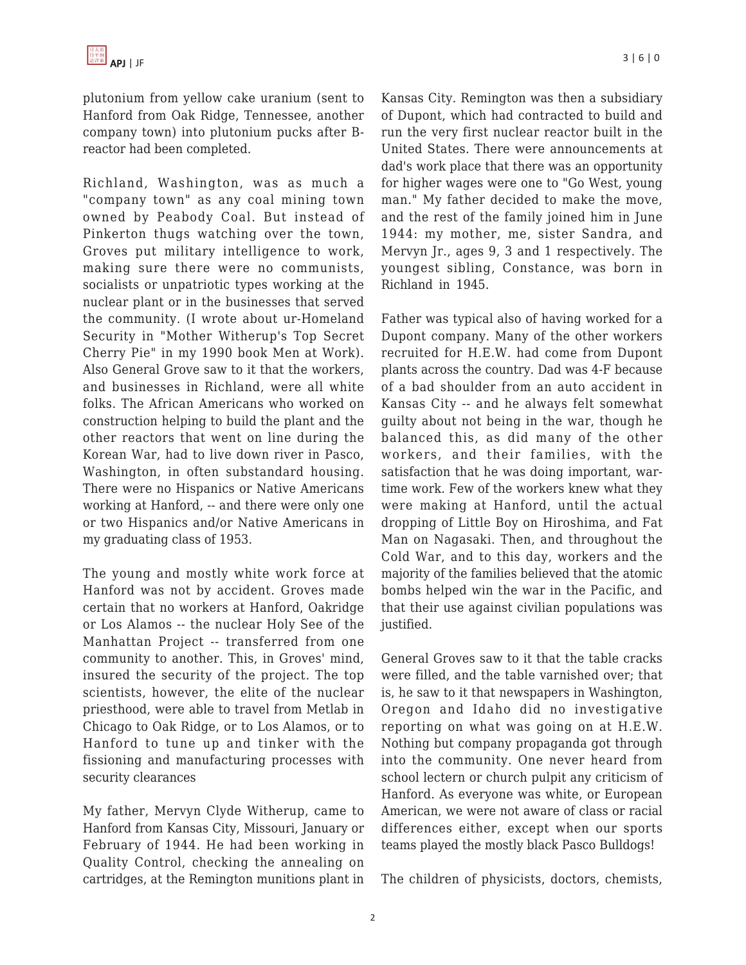plutonium from yellow cake uranium (sent to Hanford from Oak Ridge, Tennessee, another company town) into plutonium pucks after Breactor had been completed.

Richland, Washington, was as much a "company town" as any coal mining town owned by Peabody Coal. But instead of Pinkerton thugs watching over the town, Groves put military intelligence to work, making sure there were no communists, socialists or unpatriotic types working at the nuclear plant or in the businesses that served the community. (I wrote about ur-Homeland Security in "Mother Witherup's Top Secret Cherry Pie" in my 1990 book Men at Work). Also General Grove saw to it that the workers, and businesses in Richland, were all white folks. The African Americans who worked on construction helping to build the plant and the other reactors that went on line during the Korean War, had to live down river in Pasco, Washington, in often substandard housing. There were no Hispanics or Native Americans working at Hanford, -- and there were only one or two Hispanics and/or Native Americans in my graduating class of 1953.

The young and mostly white work force at Hanford was not by accident. Groves made certain that no workers at Hanford, Oakridge or Los Alamos -- the nuclear Holy See of the Manhattan Project -- transferred from one community to another. This, in Groves' mind, insured the security of the project. The top scientists, however, the elite of the nuclear priesthood, were able to travel from Metlab in Chicago to Oak Ridge, or to Los Alamos, or to Hanford to tune up and tinker with the fissioning and manufacturing processes with security clearances

My father, Mervyn Clyde Witherup, came to Hanford from Kansas City, Missouri, January or February of 1944. He had been working in Quality Control, checking the annealing on cartridges, at the Remington munitions plant in Kansas City. Remington was then a subsidiary of Dupont, which had contracted to build and run the very first nuclear reactor built in the United States. There were announcements at dad's work place that there was an opportunity for higher wages were one to "Go West, young man." My father decided to make the move, and the rest of the family joined him in June 1944: my mother, me, sister Sandra, and Mervyn Jr., ages 9, 3 and 1 respectively. The youngest sibling, Constance, was born in Richland in 1945.

Father was typical also of having worked for a Dupont company. Many of the other workers recruited for H.E.W. had come from Dupont plants across the country. Dad was 4-F because of a bad shoulder from an auto accident in Kansas City -- and he always felt somewhat guilty about not being in the war, though he balanced this, as did many of the other workers, and their families, with the satisfaction that he was doing important, wartime work. Few of the workers knew what they were making at Hanford, until the actual dropping of Little Boy on Hiroshima, and Fat Man on Nagasaki. Then, and throughout the Cold War, and to this day, workers and the majority of the families believed that the atomic bombs helped win the war in the Pacific, and that their use against civilian populations was justified.

General Groves saw to it that the table cracks were filled, and the table varnished over; that is, he saw to it that newspapers in Washington, Oregon and Idaho did no investigative reporting on what was going on at H.E.W. Nothing but company propaganda got through into the community. One never heard from school lectern or church pulpit any criticism of Hanford. As everyone was white, or European American, we were not aware of class or racial differences either, except when our sports teams played the mostly black Pasco Bulldogs!

The children of physicists, doctors, chemists,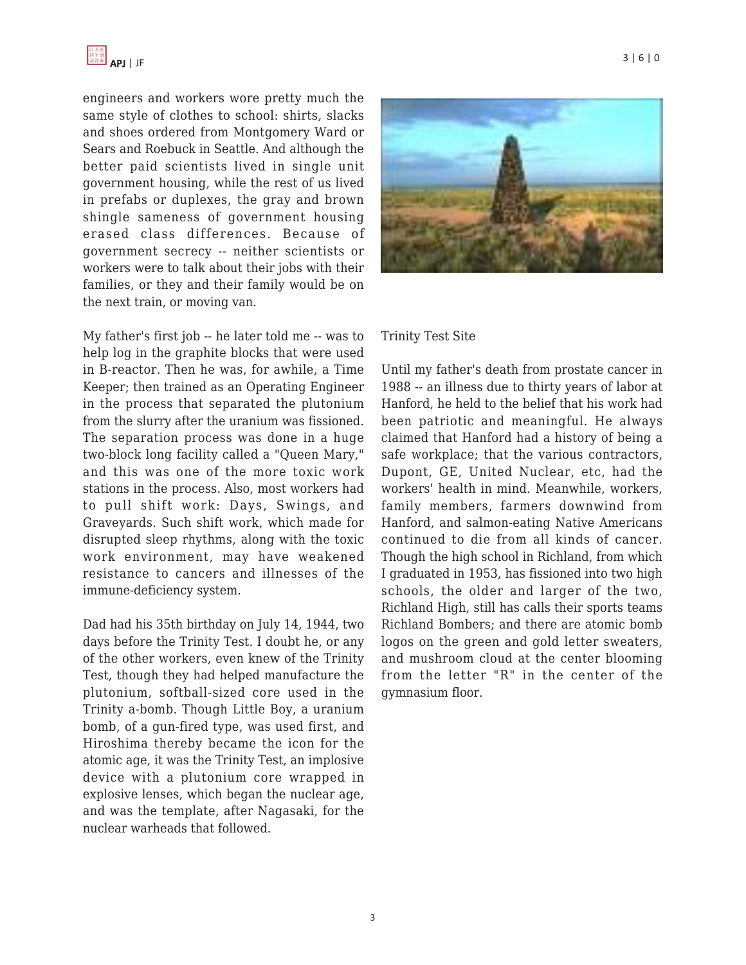engineers and workers wore pretty much the same style of clothes to school: shirts, slacks and shoes ordered from Montgomery Ward or Sears and Roebuck in Seattle. And although the better paid scientists lived in single unit government housing, while the rest of us lived in prefabs or duplexes, the gray and brown shingle sameness of government housing erased class differences. Because of government secrecy -- neither scientists or workers were to talk about their jobs with their families, or they and their family would be on the next train, or moving van.

My father's first job -- he later told me -- was to help log in the graphite blocks that were used in B-reactor. Then he was, for awhile, a Time Keeper; then trained as an Operating Engineer in the process that separated the plutonium from the slurry after the uranium was fissioned. The separation process was done in a huge two-block long facility called a "Queen Mary," and this was one of the more toxic work stations in the process. Also, most workers had to pull shift work: Days, Swings, and Graveyards. Such shift work, which made for disrupted sleep rhythms, along with the toxic work environment, may have weakened resistance to cancers and illnesses of the immune-deficiency system.

Dad had his 35th birthday on July 14, 1944, two days before the Trinity Test. I doubt he, or any of the other workers, even knew of the Trinity Test, though they had helped manufacture the plutonium, softball-sized core used in the Trinity a-bomb. Though Little Boy, a uranium bomb, of a gun-fired type, was used first, and Hiroshima thereby became the icon for the atomic age, it was the Trinity Test, an implosive device with a plutonium core wrapped in explosive lenses, which began the nuclear age, and was the template, after Nagasaki, for the nuclear warheads that followed.



## Trinity Test Site

Until my father's death from prostate cancer in 1988 -- an illness due to thirty years of labor at Hanford, he held to the belief that his work had been patriotic and meaningful. He always claimed that Hanford had a history of being a safe workplace; that the various contractors, Dupont, GE, United Nuclear, etc, had the workers' health in mind. Meanwhile, workers, family members, farmers downwind from Hanford, and salmon-eating Native Americans continued to die from all kinds of cancer. Though the high school in Richland, from which I graduated in 1953, has fissioned into two high schools, the older and larger of the two, Richland High, still has calls their sports teams Richland Bombers; and there are atomic bomb logos on the green and gold letter sweaters, and mushroom cloud at the center blooming from the letter "R" in the center of the gymnasium floor.